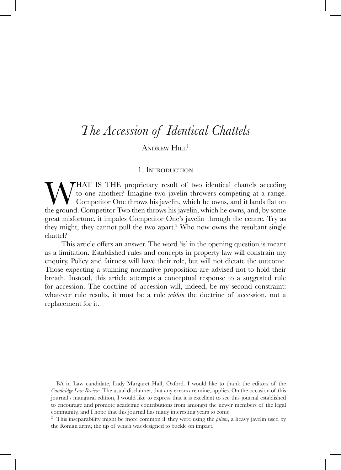# ANDREW HILL<sup>1</sup>

### 1. Introduction

**WHAT IS THE proprietary result of two identical chattels acceding** to one another? Imagine two javelin throwers competing at a range. Competitor One throws his javelin, which he owns, and it lands flat on the ground. Comp to one another? Imagine two javelin throwers competing at a range. Competitor One throws his javelin, which he owns, and it lands flat on the ground. Competitor Two then throws his javelin, which he owns, and, by some great misfortune, it impales Competitor One's javelin through the centre. Try as they might, they cannot pull the two apart.<sup>2</sup> Who now owns the resultant single chattel?

This article offers an answer. The word 'is' in the opening question is meant as a limitation. Established rules and concepts in property law will constrain my enquiry. Policy and fairness will have their role, but will not dictate the outcome. Those expecting a stunning normative proposition are advised not to hold their breath. Instead, this article attempts a conceptual response to a suggested rule for accession. The doctrine of accession will, indeed, be my second constraint: whatever rule results, it must be a rule *within* the doctrine of accession, not a replacement for it.

<sup>1</sup> BA in Law candidate, Lady Margaret Hall, Oxford. I would like to thank the editors of the *Cambridge Law Review*. The usual disclaimer, that any errors are mine, applies. On the occasion of this journal's inaugural edition, I would like to express that it is excellent to see this journal established to encourage and promote academic contributions from amongst the newer members of the legal community, and I hope that this journal has many interesting years to come.

<sup>2</sup> This inseparability might be more common if they were using the *pilum*, a heavy javelin used by the Roman army, the tip of which was designed to buckle on impact.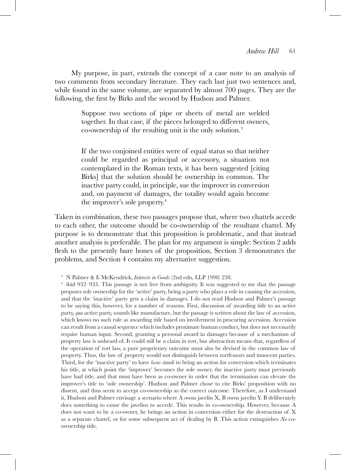My purpose, in part, extends the concept of a case note to an analysis of two comments from secondary literature. They each last just two sentences and, while found in the same volume, are separated by almost 700 pages. They are the following, the first by Birks and the second by Hudson and Palmer.

> Suppose two sections of pipe or sheets of metal are welded together. In that case, if the pieces belonged to different owners, co-ownership of the resulting unit is the only solution.3

> If the two conjoined entities were of equal status so that neither could be regarded as principal or accessory, a situation not contemplated in the Roman texts, it has been suggested [citing Birks] that the solution should be ownership in common. The inactive party could, in principle, sue the improver in conversion and, on payment of damages, the totality would again become the improver's sole property.4

Taken in combination, these two passages propose that, where two chattels accede to each other, the outcome should be co-ownership of the resultant chattel. My purpose is to demonstrate that this proposition is problematic, and that instead another analysis is preferable. The plan for my argument is simple: Section 2 adds flesh to the presently bare bones of the proposition, Section 3 demonstrates the problems, and Section 4 contains my alternative suggestion.

<sup>3</sup> N Palmer & E McKendrick, *Interests in Goods* (2nd edn, LLP 1998) 238.

<sup>4</sup> ibid 932–933. This passage is not free from ambiguity. It was suggested to me that the passage proposes sole ownership for the 'active' party, being a party who plays a role in causing the accession, and that the 'inactive' party gets a claim in damages. I do not read Hudson and Palmer's passage to be saying this, however, for a number of reasons. First, discussion of awarding title to an active party, *qua* active party, sounds like manufacture, but the passage is written about the law of accession, which knows no such rule as awarding title based on involvement in procuring accession. Accession can result from a causal sequence which includes proximate human conduct, but does not necessarily require human input. Second, granting a personal award in damages because of a mechanism of property law is unheard of. It could still be a claim in tort, but abstraction means that, regardless of the operation of tort law, a pure proprietary outcome must also be devised in the common law of property. Thus, the law of property would not distinguish between tortfeasors and innocent parties. Third, for the 'inactive party' to have *locus standi* to bring an action for conversion which terminates his title, at which point the 'improver' becomes the sole owner, the inactive party must previously have had title, and that must have been as co-owner in order that the termination can elevate the improver's title to 'sole ownership'. Hudson and Palmer chose to cite Birks' proposition with no dissent, and thus seem to accept co-ownership as the correct outcome. Therefore, as I understand it, Hudson and Palmer envisage a scenario where A owns javelin X, B owns javelin Y. B deliberately does something to cause the javelins to accede. This results in co-ownership. However, because A does not want to be a co-owner, he brings an action in conversion either for the destruction of X as a separate chattel, or for some subsequent act of dealing by B. This action extinguishes A's coownership title.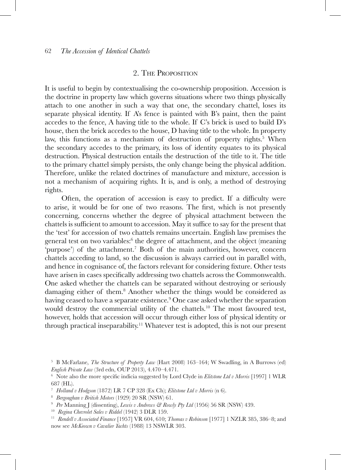# 2. The Proposition

It is useful to begin by contextualising the co-ownership proposition. Accession is the doctrine in property law which governs situations where two things physically attach to one another in such a way that one, the secondary chattel, loses its separate physical identity. If A's fence is painted with B's paint, then the paint accedes to the fence, A having title to the whole. If C's brick is used to build D's house, then the brick accedes to the house, D having title to the whole. In property law, this functions as a mechanism of destruction of property rights.<sup>5</sup> When the secondary accedes to the primary, its loss of identity equates to its physical destruction. Physical destruction entails the destruction of the title to it. The title to the primary chattel simply persists, the only change being the physical addition. Therefore, unlike the related doctrines of manufacture and mixture, accession is not a mechanism of acquiring rights. It is, and is only, a method of destroying rights.

Often, the operation of accession is easy to predict. If a difficulty were to arise, it would be for one of two reasons. The first, which is not presently concerning, concerns whether the degree of physical attachment between the chattels is sufficient to amount to accession. May it suffice to say for the present that the 'test' for accession of two chattels remains uncertain. English law premises the general test on two variables:<sup>6</sup> the degree of attachment, and the object (meaning 'purpose') of the attachment.7 Both of the main authorities, however, concern chattels acceding to land, so the discussion is always carried out in parallel with, and hence in cognisance of, the factors relevant for considering fixture. Other tests have arisen in cases specifically addressing two chattels across the Commonwealth. One asked whether the chattels can be separated without destroying or seriously damaging either of them.<sup>8</sup> Another whether the things would be considered as having ceased to have a separate existence.<sup>9</sup> One case asked whether the separation would destroy the commercial utility of the chattels.<sup>10</sup> The most favoured test, however, holds that accession will occur through either loss of physical identity or through practical inseparability.11 Whatever test is adopted, this is not our present

<sup>5</sup> B McFarlane, *The Structure of Property Law* (Hart 2008) 163–164; W Swadling, in A Burrows (ed) *English Private Law* (3rd edn, OUP 2013), 4.470–4.471.<br><sup>6</sup> Note also the more specific indicia suggested by Lord Clyde in *Elitstone Ltd v Morris* [1997] 1 WLR

<sup>687 (</sup>HL).

<sup>7</sup> *Holland v Hodgson* (1872) LR 7 CP 328 (Ex Ch); *Elitstone Ltd v Morris* (n 6). 8 *Bergoughan v British Motors* (1929) 20 SR (NSW) 61.

<sup>9</sup> *Per* Manning J (dissenting), *Lewis v Andrews & Rowly Pty Ltd* (1956) 56 SR (NSW) 439.

<sup>10</sup> *Regina Chevrolet Sales v Riddel* (1942) 3 DLR 159.

<sup>11</sup> *Rendell v Associated Finance* [1957] VR 604, 610; *Thomas v Robinson* [1977] 1 NZLR 385, 386–8; and now see *McKeown v Cavalier Yachts* (1988) 13 NSWLR 303.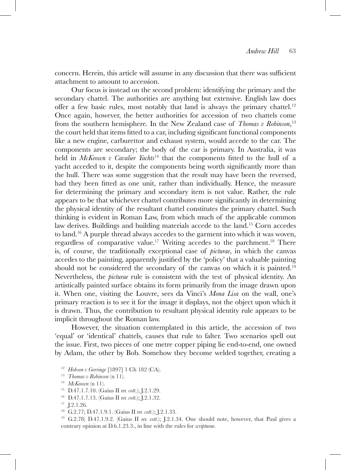concern. Herein, this article will assume in any discussion that there was sufficient attachment to amount to accession.

Our focus is instead on the second problem: identifying the primary and the secondary chattel. The authorities are anything but extensive. English law does offer a few basic rules, most notably that land is always the primary chattel.<sup>12</sup> Once again, however, the better authorities for accession of two chattels come from the southern hemisphere. In the New Zealand case of *Thomas v Robinson*, 13 the court held that items fitted to a car, including significant functional components like a new engine, carburettor and exhaust system, would accede to the car. The components are secondary; the body of the car is primary. In Australia, it was held in *McKeown v Cavalier Yachts*<sup>14</sup> that the components fitted to the hull of a yacht acceded to it, despite the components being worth significantly more than the hull. There was some suggestion that the result may have been the reversed, had they been fitted as one unit, rather than individually. Hence, the measure for determining the primary and secondary item is not value. Rather, the rule appears to be that whichever chattel contributes more significantly in determining the physical identity of the resultant chattel constitutes the primary chattel. Such thinking is evident in Roman Law, from which much of the applicable common law derives. Buildings and building materials accede to the land.15 Corn accedes to land.<sup>16</sup> A purple thread always accedes to the garment into which it was woven, regardless of comparative value.17 Writing accedes to the parchment.18 There is, of course, the traditionally exceptional case of *picturae*, in which the canvas accedes to the painting, apparently justified by the 'policy' that a valuable painting should not be considered the secondary of the canvas on which it is painted.<sup>19</sup> Nevertheless, the *picturae* rule is consistent with the test of physical identity. An artistically painted surface obtains its form primarily from the image drawn upon it. When one, visiting the Louvre, sees da Vinci's *Mona Lisa* on the wall, one's primary reaction is to see it for the image it displays, not the object upon which it is drawn. Thus, the contribution to resultant physical identity rule appears to be implicit throughout the Roman law.

However, the situation contemplated in this article, the accession of two 'equal' or 'identical' chattels, causes that rule to falter. Two scenarios spell out the issue. First, two pieces of one metre copper piping lie end-to-end, one owned by Adam, the other by Bob. Somehow they become welded together, creating a

<sup>17</sup> J.2.1.26. 18 G.2.77; D.47.1.9.1. (Gaius II *rer. cott*.); J.2.1.33. 19 G.2.78; D.47.1.9.2. (Gaius II *rer. cott*.); J.2.1.34. One should note, however, that Paul gives a contrary opinion at D.6.1.23.3., in line with the rules for *scripturae*.

<sup>12</sup> *Hobson v Gorringe* [1897] 1 Ch 182 (CA). 13 *Thomas v Robinson* (n 11). 14 *McKeown* (n 11).

<sup>15</sup> D.47.1.7.10. (Gaius II *rer. cott*.); J.2.1.29.

<sup>16</sup> D.47.1.7.13. (Gaius II *rer. cott*.); J.2.1.32.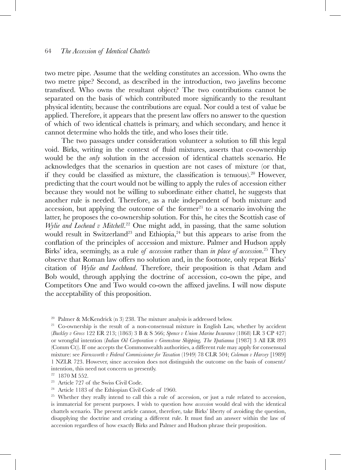two metre pipe. Assume that the welding constitutes an accession. Who owns the two metre pipe? Second, as described in the introduction, two javelins become transfixed. Who owns the resultant object? The two contributions cannot be separated on the basis of which contributed more significantly to the resultant physical identity, because the contributions are equal. Nor could a test of value be applied. Therefore, it appears that the present law offers no answer to the question of which of two identical chattels is primary, and which secondary, and hence it cannot determine who holds the title, and who loses their title.

The two passages under consideration volunteer a solution to fill this legal void. Birks, writing in the context of fluid mixtures, asserts that co-ownership would be the *only* solution in the accession of identical chattels scenario. He acknowledges that the scenarios in question are not cases of mixture (or that, if they could be classified as mixture, the classification is tenuous).20 However, predicting that the court would not be willing to apply the rules of accession either because they would not be willing to subordinate either chattel, he suggests that another rule is needed. Therefore, as a rule independent of both mixture and accession, but applying the outcome of the former $21$  to a scenario involving the latter, he proposes the co-ownership solution. For this, he cites the Scottish case of *Wylie and Lochead v Mitchell*.<sup>22</sup> One might add, in passing, that the same solution would result in Switzerland<sup>23</sup> and Ethiopia,<sup>24</sup> but this appears to arise from the conflation of the principles of accession and mixture. Palmer and Hudson apply Birks' idea, seemingly, as a rule *of accession* rather than *in place of accession*. 25 They observe that Roman law offers no solution and, in the footnote, only repeat Birks' citation of *Wylie and Lochhead*. Therefore, their proposition is that Adam and Bob would, through applying the doctrine of accession, co-own the pipe, and Competitors One and Two would co-own the affixed javelins. I will now dispute the acceptability of this proposition.

<sup>&</sup>lt;sup>20</sup> Palmer & McKendrick (n 3) 238. The mixture analysis is addressed below.<br><sup>21</sup> Co-ownership is the result of a non-consensual mixture in English Law, whether by accident (*Buckley v Gross* 122 ER 213; (1863) 3 B & S 566; *Spence v Union Marine Insurance* (1868) LR 3 CP 427) or wrongful intention (*Indian Oil Corporation v Greenstone Shipping, The Ypatianna* [1987] 3 All ER 893 (Comm Ct)). If one accepts the Commonwealth authorities, a different rule may apply for consensual mixture: see *Farnsworth v Federal Commissioner for Taxation* (1949) 78 CLR 504; *Coleman v Harvey* [1989] 1 NZLR 723. However, since accession does not distinguish the outcome on the basis of consent/ intention, this need not concern us presently.<br><sup>22</sup> 1870 M 552.

<sup>&</sup>lt;sup>23</sup> Article 727 of the Swiss Civil Code.<br><sup>24</sup> Article 1183 of the Ethiopian Civil Code of 1960.

<sup>25</sup> Whether they really intend to call this a rule of accession, or just a rule related to accession, is immaterial for present purposes. I wish to question how *accession* would deal with the identical chattels scenario. The present article cannot, therefore, take Birks' liberty of avoiding the question, disapplying the doctrine and creating a different rule. It must find an answer within the law of accession regardless of how exactly Birks and Palmer and Hudson phrase their proposition.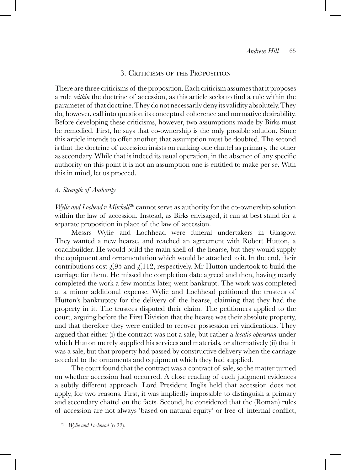### 3. Criticisms of the Proposition

There are three criticisms of the proposition. Each criticism assumes that it proposes a rule *within* the doctrine of accession, as this article seeks to find a rule within the parameter of that doctrine. They do not necessarily deny its validity absolutely. They do, however, call into question its conceptual coherence and normative desirability. Before developing these criticisms, however, two assumptions made by Birks must be remedied. First, he says that co-ownership is the only possible solution. Since this article intends to offer another, that assumption must be doubted. The second is that the doctrine of accession insists on ranking one chattel as primary, the other as secondary. While that is indeed its usual operation, in the absence of any specific authority on this point it is not an assumption one is entitled to make per se. With this in mind, let us proceed.

### *A. Strength of Authority*

*Wylie and Lochead v Mitchell*<sup>26</sup> cannot serve as authority for the co-ownership solution within the law of accession. Instead, as Birks envisaged, it can at best stand for a separate proposition in place of the law of accession.

Messrs Wylie and Lochhead were funeral undertakers in Glasgow. They wanted a new hearse, and reached an agreement with Robert Hutton, a coachbuilder. He would build the main shell of the hearse, but they would supply the equipment and ornamentation which would be attached to it. In the end, their contributions cost  $\epsilon$ , 95 and  $\epsilon$ , 112, respectively. Mr Hutton undertook to build the carriage for them. He missed the completion date agreed and then, having nearly completed the work a few months later, went bankrupt. The work was completed at a minor additional expense. Wylie and Lochhead petitioned the trustees of Hutton's bankruptcy for the delivery of the hearse, claiming that they had the property in it. The trustees disputed their claim. The petitioners applied to the court, arguing before the First Division that the hearse was their absolute property, and that therefore they were entitled to recover possession rei vindications. They argued that either (i) the contract was not a sale, but rather a *locatio operarum* under which Hutton merely supplied his services and materials, or alternatively (ii) that it was a sale, but that property had passed by constructive delivery when the carriage acceded to the ornaments and equipment which they had supplied.

The court found that the contract was a contract of sale, so the matter turned on whether accession had occurred. A close reading of each judgment evidences a subtly different approach. Lord President Inglis held that accession does not apply, for two reasons. First, it was impliedly impossible to distinguish a primary and secondary chattel on the facts. Second, he considered that the (Roman) rules of accession are not always 'based on natural equity' or free of internal conflict,

<sup>26</sup> *Wylie and Lochhead* (n 22).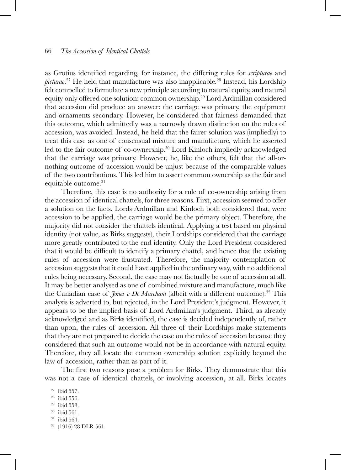as Grotius identified regarding, for instance, the differing rules for *scripturae* and *picturae*. 27 He held that manufacture was also inapplicable.28 Instead, his Lordship felt compelled to formulate a new principle according to natural equity, and natural equity only offered one solution: common ownership.29 Lord Ardmillan considered that accession did produce an answer: the carriage was primary, the equipment and ornaments secondary. However, he considered that fairness demanded that this outcome, which admittedly was a narrowly drawn distinction on the rules of accession, was avoided. Instead, he held that the fairer solution was (impliedly) to treat this case as one of consensual mixture and manufacture, which he asserted led to the fair outcome of co-ownership.30 Lord Kinloch impliedly acknowledged that the carriage was primary. However, he, like the others, felt that the all-ornothing outcome of accession would be unjust because of the comparable values of the two contributions. This led him to assert common ownership as the fair and equitable outcome.<sup>31</sup>

Therefore, this case is no authority for a rule of co-ownership arising from the accession of identical chattels, for three reasons. First, accession seemed to offer a solution on the facts. Lords Ardmillan and Kinloch both considered that, were accession to be applied, the carriage would be the primary object. Therefore, the majority did not consider the chattels identical. Applying a test based on physical identity (not value, as Birks suggests), their Lordships considered that the carriage more greatly contributed to the end identity. Only the Lord President considered that it would be difficult to identify a primary chattel, and hence that the existing rules of accession were frustrated. Therefore, the majority contemplation of accession suggests that it could have applied in the ordinary way, with no additional rules being necessary. Second, the case may not factually be one of accession at all. It may be better analysed as one of combined mixture and manufacture, much like the Canadian case of *Jones v De Marchant* (albeit with a different outcome).32 This analysis is adverted to, but rejected, in the Lord President's judgment. However, it appears to be the implied basis of Lord Ardmillan's judgment. Third, as already acknowledged and as Birks identified, the case is decided independently of, rather than upon, the rules of accession. All three of their Lordships make statements that they are not prepared to decide the case on the rules of accession because they considered that such an outcome would not be in accordance with natural equity. Therefore, they all locate the common ownership solution explicitly beyond the law of accession, rather than as part of it.

The first two reasons pose a problem for Birks. They demonstrate that this was not a case of identical chattels, or involving accession, at all. Birks locates

 $31$  ibid 564.

<sup>27</sup> ibid 557.

 $28$  ibid 556.

<sup>29</sup> ibid 558.

<sup>30</sup> ibid 561.

<sup>32</sup> (1916) 28 DLR 561.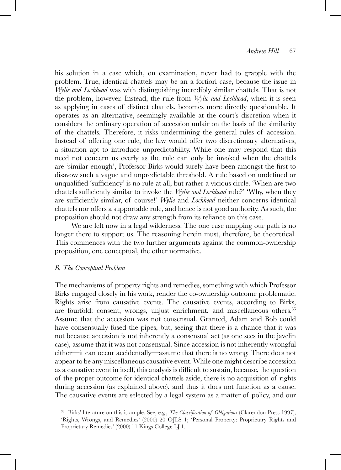his solution in a case which, on examination, never had to grapple with the problem. True, identical chattels may be an a fortiori case, because the issue in *Wylie and Lochhead* was with distinguishing incredibly similar chattels. That is not the problem, however. Instead, the rule from *Wylie and Lochhead*, when it is seen as applying in cases of distinct chattels, becomes more directly questionable. It operates as an alternative, seemingly available at the court's discretion when it considers the ordinary operation of accession unfair on the basis of the similarity of the chattels. Therefore, it risks undermining the general rules of accession. Instead of offering one rule, the law would offer two discretionary alternatives, a situation apt to introduce unpredictability. While one may respond that this need not concern us overly as the rule can only be invoked when the chattels are 'similar enough', Professor Birks would surely have been amongst the first to disavow such a vague and unpredictable threshold. A rule based on undefined or unqualified 'sufficiency' is no rule at all, but rather a vicious circle. 'When are two chattels sufficiently similar to invoke the *Wylie and Lochhead* rule?' 'Why, when they are sufficiently similar, of course!' *Wylie* and *Lochhead* neither concerns identical chattels nor offers a supportable rule, and hence is not good authority. As such, the proposition should not draw any strength from its reliance on this case.

We are left now in a legal wilderness. The one case mapping our path is no longer there to support us. The reasoning herein must, therefore, be theoretical. This commences with the two further arguments against the common-ownership proposition, one conceptual, the other normative.

### *B. The Conceptual Problem*

The mechanisms of property rights and remedies, something with which Professor Birks engaged closely in his work, render the co-ownership outcome problematic. Rights arise from causative events. The causative events, according to Birks, are fourfold: consent, wrongs, unjust enrichment, and miscellaneous others.<sup>33</sup> Assume that the accession was not consensual. Granted, Adam and Bob could have consensually fused the pipes, but, seeing that there is a chance that it was not because accession is not inherently a consensual act (as one sees in the javelin case), assume that it was not consensual. Since accession is not inherently wrongful either—it can occur accidentally—assume that there is no wrong. There does not appear to be any miscellaneous causative event. While one might describe accession as a causative event in itself, this analysis is difficult to sustain, because, the question of the proper outcome for identical chattels aside, there is no acquisition of rights during accession (as explained above), and thus it does not function as a cause. The causative events are selected by a legal system as a matter of policy, and our

<sup>33</sup> Birks' literature on this is ample. See, e.g., *The Classification of Obligations* (Clarendon Press 1997); 'Rights, Wrongs, and Remedies' (2000) 20 OJLS 1; 'Personal Property: Proprietary Rights and Proprietary Remedies' (2000) 11 Kings College LJ 1.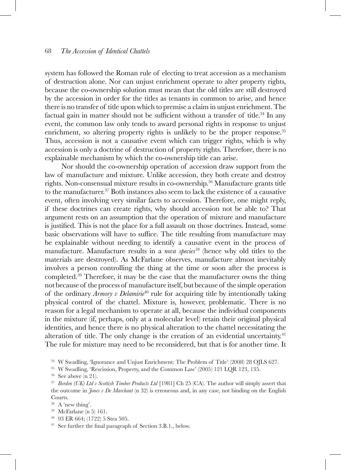system has followed the Roman rule of electing to treat accession as a mechanism of destruction alone. Nor can unjust enrichment operate to alter property rights, because the co-ownership solution must mean that the old titles are still destroyed by the accession in order for the titles as tenants in common to arise, and hence there is no transfer of title upon which to premise a claim in unjust enrichment. The factual gain in matter should not be sufficient without a transfer of title.<sup>34</sup> In any event, the common law only tends to award personal rights in response to unjust enrichment, so altering property rights is unlikely to be the proper response.<sup>35</sup> Thus, accession is not a causative event which can trigger rights, which is why accession is only a doctrine of destruction of property rights. Therefore, there is no explainable mechanism by which the co-ownership title can arise.

Nor should the co-ownership operation of accession draw support from the law of manufacture and mixture. Unlike accession, they both create and destroy rights. Non-consensual mixture results in co-ownership.36 Manufacture grants title to the manufacturer.37 Both instances also seem to lack the existence of a causative event, often involving very similar facts to accession. Therefore, one might reply, if these doctrines can create rights, why should accession not be able to? That argument rests on an assumption that the operation of mixture and manufacture is justified. This is not the place for a full assault on those doctrines. Instead, some basic observations will have to suffice. The title resulting from manufacture may be explainable without needing to identify a causative event in the process of manufacture. Manufacture results in a *nova species38* (hence why old titles to the materials are destroyed). As McFarlane observes, manufacture almost inevitably involves a person controlling the thing at the time or soon after the process is completed.39 Therefore, it may be the case that the manufacturer owns the thing not because of the process of manufacture itself, but because of the simple operation of the ordinary *Armory v Delamirie*<sup>40</sup> rule for acquiring title by intentionally taking physical control of the chattel. Mixture is, however, problematic. There is no reason for a legal mechanism to operate at all, because the individual components in the mixture (if, perhaps, only at a molecular level) retain their original physical identities, and hence there is no physical alteration to the chattel necessitating the alteration of title. The only change is the creation of an evidential uncertainty.<sup>41</sup> The rule for mixture may need to be reconsidered, but that is for another time. It

<sup>34</sup> W Swadling, 'Ignorance and Unjust Enrichment: The Problem of Title' (2008) 28 OJLS 627. <sup>35</sup> W Swadling, 'Rescission, Property, and the Common Law' (2005) 121 LQR 123, 135. 36 See above (n 21).

<sup>37</sup> *Borden (UK) Ltd v Scottish Timber Products Ltd* [1981] Ch 25 (CA). The author will simply assert that the outcome in *Jones v De Marchant* (n 32) is erroneous and, in any case, not binding on the English Courts.<br> $38$  A 'new thing'.

<sup>39</sup> McFarlane (n 5) 161.<br><sup>40</sup> 93 ER 664; (1722) 5 Stra 505.<br><sup>41</sup> See further the final paragraph of Section 3.B.1., below.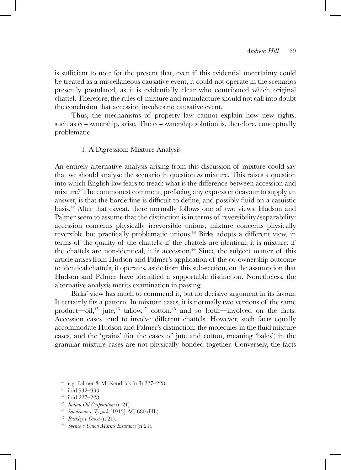is sufficient to note for the present that, even if this evidential uncertainty could be treated as a miscellaneous causative event, it could not operate in the scenarios presently postulated, as it is evidentially clear who contributed which original chattel. Therefore, the rules of mixture and manufacture should not call into doubt the conclusion that accession involves no causative event.

Thus, the mechanisms of property law cannot explain how new rights, such as co-ownership, arise. The co-ownership solution is, therefore, conceptually problematic.

### 1. A Digression: Mixture Analysis

An entirely alternative analysis arising from this discussion of mixture could say that we should analyse the scenario in question *as* mixture. This raises a question into which English law fears to tread: what is the difference between accession and mixture? The commonest comment, prefacing any express endeavour to supply an answer, is that the borderline is difficult to define, and possibly fluid on a casuistic basis.42 After that caveat, there normally follows one of two views. Hudson and Palmer seem to assume that the distinction is in terms of reversibility/separability: accession concerns physically irreversible unions, mixture concerns physically reversible but practically problematic unions.<sup>43</sup> Birks adopts a different view, in terms of the quality of the chattels: if the chattels are identical, it is mixture; if the chattels are non-identical, it is accession.<sup>44</sup> Since the subject matter of this article arises from Hudson and Palmer's application of the co-ownership outcome to identical chattels, it operates, aside from this sub-section, on the assumption that Hudson and Palmer have identified a supportable distinction. Nonetheless, the alternative analysis merits examination in passing.

Birks' view has much to commend it, but no decisive argument in its favour. It certainly fits a pattern. In mixture cases, it is normally two versions of the same product—oil,<sup>45</sup> jute,<sup>46</sup> tallow,<sup>47</sup> cotton,<sup>48</sup> and so forth—involved on the facts. Accession cases tend to involve different chattels. However, such facts equally accommodate Hudson and Palmer's distinction; the molecules in the fluid mixture cases, and the 'grains' (for the cases of jute and cotton, meaning 'bales') in the granular mixture cases are not physically bonded together. Conversely, the facts

<sup>42</sup> e.g. Palmer & McKendrick (n 3) 227–228.<br><sup>43</sup> ibid 932–933.

<sup>44</sup> ibid 227–228.

- 
- <sup>45</sup> *Indian Oil Corporation* (n 21). 46 *Sandeman v Tyzack* [1913] AC 680 (HL). 47 *Buckley v Gross* (n 21). 48 *Spence v Union Marine Insurance* (n 21).
- 
-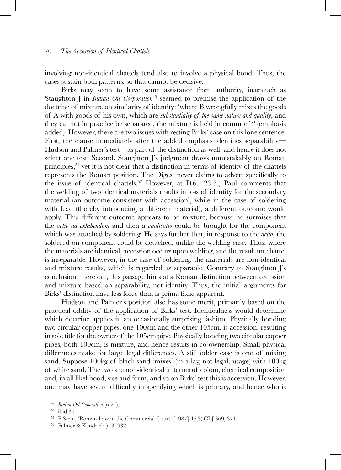involving non-identical chattels tend also to involve a physical bond. Thus, the cases sustain both patterns, so that cannot be decisive.

Birks may seem to have some assistance from authority, inasmuch as Staughton J in *Indian Oil Corporation*<sup>49</sup> seemed to premise the application of the doctrine of mixture on similarity of identity: 'where B wrongfully mixes the goods of A with goods of his own, which are *substantially of the same nature and quality*, and they cannot in practice be separated, the mixture is held in common'50 (emphasis added). However, there are two issues with resting Birks' case on this lone sentence. First, the clause immediately after the added emphasis identifies separability— Hudson and Palmer's test—as part of the distinction as well, and hence it does not select one test. Second, Staughton J's judgment draws unmistakably on Roman principles,<sup>51</sup> yet it is not clear that a distinction in terms of identity of the chattels represents the Roman position. The Digest never claims to advert specifically to the issue of identical chattels.<sup>52</sup> However, at D.6.1.23.3., Paul comments that the welding of two identical materials results in loss of identity for the secondary material (an outcome consistent with accession), while in the case of soldering with lead (thereby introducing a different material), a different outcome would apply. This different outcome appears to be mixture, because he surmises that the *actio ad exhibendum* and then a *vindicatio* could be brought for the component which was attached by soldering. He says further that, in response to the *actio*, the soldered-on component could be detached, unlike the welding case. Thus, where the materials are identical, accession occurs upon welding, and the resultant chattel is inseparable. However, in the case of soldering, the materials are non-identical and mixture results, which is regarded as separable. Contrary to Staughton J's conclusion, therefore, this passage hints at a Roman distinction between accession and mixture based on separability, not identity. Thus, the initial arguments for Birks' distinction have less force than is prima facie apparent.

Hudson and Palmer's position also has some merit, primarily based on the practical oddity of the application of Birks' test. Identicalness would determine which doctrine applies in an occasionally surprising fashion. Physically bonding two circular copper pipes, one 100cm and the other 105cm, is accession, resulting in sole title for the owner of the 105cm pipe. Physically bonding two circular copper pipes, both 100cm, is mixture, and hence results in co-ownership. Small physical differences make for large legal differences. A still odder case is one of mixing sand. Suppose 100kg of black sand 'mixes' (in a lay, not legal, usage) with 100kg of white sand. The two are non-identical in terms of colour, chemical composition and, in all likelihood, sise and form, and so on Birks' test this is accession. However, one may have severe difficulty in specifying which is primary, and hence who is

<sup>&</sup>lt;sup>49</sup> *Indian Oil Coporation* (n 21).<br><sup>50</sup> ibid 360.<br><sup>51</sup> P Stein, 'Roman Law in the Commercial Court' [1987] 46(3) CLJ 369, 371.<br><sup>52</sup> Palmer & Kendrick (n 3) 932.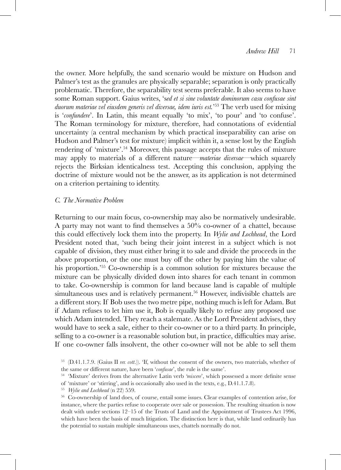the owner. More helpfully, the sand scenario would be mixture on Hudson and Palmer's test as the granules are physically separable; separation is only practically problematic. Therefore, the separability test seems preferable. It also seems to have some Roman support. Gaius writes, 's*ed et si sine voluntate dominorum casu confusae sint duorum materiae vel eiusdem generis vel diversae, idem iuris est.*' 53 The verb used for mixing is '*confundere*'. In Latin, this meant equally 'to mix', 'to pour' and 'to confuse'. The Roman terminology for mixture, therefore, had connotations of evidential uncertainty (a central mechanism by which practical inseparability can arise on Hudson and Palmer's test for mixture) implicit within it, a sense lost by the English rendering of 'mixture'.54 Moreover, this passage accepts that the rules of mixture may apply to materials of a different nature—*materiae diversae*—which squarely rejects the Birksian identicalness test. Accepting this conclusion, applying the doctrine of mixture would not be the answer, as its application is not determined on a criterion pertaining to identity.

### *C. The Normative Problem*

Returning to our main focus, co-ownership may also be normatively undesirable. A party may not want to find themselves a 50% co-owner of a chattel, because this could effectively lock them into the property. In *Wylie and Lochhead*, the Lord President noted that, 'such being their joint interest in a subject which is not capable of division, they must either bring it to sale and divide the proceeds in the above proportion, or the one must buy off the other by paying him the value of his proportion.'55 Co-ownership is a common solution for mixtures because the mixture can be physically divided down into shares for each tenant in common to take. Co-ownership is common for land because land is capable of multiple simultaneous uses and is relatively permanent.<sup>56</sup> However, indivisible chattels are a different story. If Bob uses the two metre pipe, nothing much is left for Adam. But if Adam refuses to let him use it, Bob is equally likely to refuse any proposed use which Adam intended. They reach a stalemate. As the Lord President advises, they would have to seek a sale, either to their co-owner or to a third party. In principle, selling to a co-owner is a reasonable solution but, in practice, difficulties may arise. If one co-owner falls insolvent, the other co-owner will not be able to sell them

<sup>53</sup> (D.41.1.7.9. (Gaius II *rer. cott*.)). 'If, without the consent of the owners, two materials, whether of the same or different nature, have been '*confusae*', the rule is the same'. 54 'Mixture' derives from the alternative Latin verb *'miscere*', which possessed a more definite sense

of 'mixture' or 'stirring', and is occasionally also used in the texts, e.g., D.41.1.7.8).

<sup>&</sup>lt;sup>55</sup> *Wylie and Lochhead* (n 22) 559.<br><sup>56</sup> Co-ownership of land does, of course, entail some issues. Clear examples of contention arise, for instance, where the parties refuse to cooperate over sale or possession. The resulting situation is now dealt with under sections 12–15 of the Trusts of Land and the Appointment of Trustees Act 1996, which have been the basis of much litigation. The distinction here is that, while land ordinarily has the potential to sustain multiple simultaneous uses, chattels normally do not.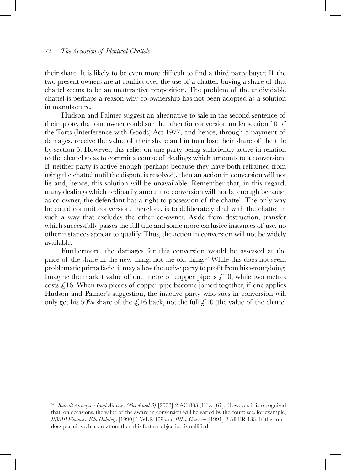their share. It is likely to be even more difficult to find a third party buyer. If the two present owners are at conflict over the use of a chattel, buying a share of that chattel seems to be an unattractive proposition. The problem of the undividable chattel is perhaps a reason why co-ownership has not been adopted as a solution in manufacture.

Hudson and Palmer suggest an alternative to sale in the second sentence of their quote, that one owner could sue the other for conversion under section 10 of the Torts (Interference with Goods) Act 1977, and hence, through a payment of damages, receive the value of their share and in turn lose their share of the title by section 5. However, this relies on one party being sufficiently active in relation to the chattel so as to commit a course of dealings which amounts to a conversion. If neither party is active enough (perhaps because they have both refrained from using the chattel until the dispute is resolved), then an action in conversion will not lie and, hence, this solution will be unavailable. Remember that, in this regard, many dealings which ordinarily amount to conversion will not be enough because, as co-owner, the defendant has a right to possession of the chattel. The only way he could commit conversion, therefore, is to deliberately deal with the chattel in such a way that excludes the other co-owner. Aside from destruction, transfer which successfully passes the full title and some more exclusive instances of use, no other instances appear to qualify. Thus, the action in conversion will not be widely available.

Furthermore, the damages for this conversion would be assessed at the price of the share in the new thing, not the old thing.<sup>57</sup> While this does not seem problematic prima facie, it may allow the active party to profit from his wrongdoing. Imagine the market value of one metre of copper pipe is  $\mathcal{L}^{10}$ , while two metres costs  $\mathcal{L}$ 16. When two pieces of copper pipe become joined together, if one applies Hudson and Palmer's suggestion, the inactive party who sues in conversion will only get his 50% share of the  $\mathcal{L}16$  back, not the full  $\mathcal{L}10$  (the value of the chattel

<sup>57</sup> *Kuwait Airways v Iraqi Airways (Nos 4 and 5)* [2002] 2 AC 883 (HL), [67]. However, it is recognised that, on occasions, the value of the award in conversion will be varied by the court: see, for example, *BBMB Finance v Eda Holdings* [1990] 1 WLR 409 and *IBL v Coussens* [1991] 2 All ER 133. If the court does permit such a variation, then this further objection is nullified.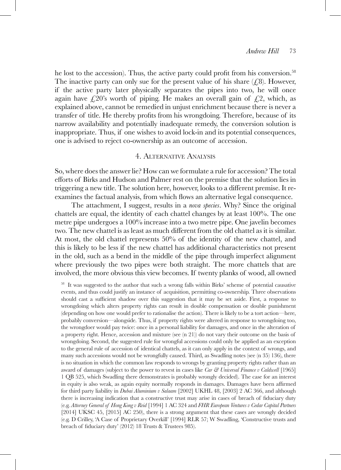he lost to the accession). Thus, the active party could profit from his conversion.<sup>58</sup> The inactive party can only sue for the present value of his share  $(f, 8)$ . However, if the active party later physically separates the pipes into two, he will once again have  $\zeta$ 20's worth of piping. He makes an overall gain of  $\zeta$ , which, as explained above, cannot be remedied in unjust enrichment because there is never a transfer of title. He thereby profits from his wrongdoing. Therefore, because of its narrow availability and potentially inadequate remedy, the conversion solution is inappropriate. Thus, if one wishes to avoid lock-in and its potential consequences, one is advised to reject co-ownership as an outcome of accession.

# 4. Alternative Analysis

So, where does the answer lie? How can we formulate a rule for accession? The total efforts of Birks and Hudson and Palmer rest on the premise that the solution lies in triggering a new title. The solution here, however, looks to a different premise. It reexamines the factual analysis, from which flows an alternative legal consequence.

The attachment, I suggest, results in a *nova species*. Why? Since the original chattels are equal, the identity of each chattel changes by at least 100%. The one metre pipe undergoes a 100% increase into a two metre pipe. One javelin becomes two. The new chattel is as least as much different from the old chattel as it is similar. At most, the old chattel represents 50% of the identity of the new chattel, and this is likely to be less if the new chattel has additional characteristics not present in the old, such as a bend in the middle of the pipe through imperfect alignment where previously the two pipes were both straight. The more chattels that are involved, the more obvious this view becomes. If twenty planks of wood, all owned

<sup>58</sup> It was suggested to the author that such a wrong falls within Birks' scheme of potential causative events, and thus could justify an instance of acquisition, permitting co-ownership. Three observations should cast a sufficient shadow over this suggestion that it may be set aside. First, a response to wrongdoing which alters property rights can result in double compensation or double punishment (depending on how one would prefer to rationalise the action). There is likely to be a tort action—here, probably conversion—alongside. Thus, if property rights were altered in response to wrongdoing too, the wrongdoer would pay twice: once in a personal liability for damages, and once in the alteration of a property right. Hence, accession and mixture (see (n 21)) do not vary their outcome on the basis of wrongdoing. Second, the suggested rule for wrongful accessions could only be applied as an exception to the general rule of accession of identical chattels, as it can only apply in the context of wrongs, and many such accessions would not be wrongfully caused. Third, as Swadling notes (see (n 35) 136), there is no situation in which the common law responds to wrongs by granting property rights rather than an award of damages (subject to the power to revest in cases like *Car & Universal Finance v Caldwell* [1965] 1 QB 525, which Swadling there demonstrates is probably wrongly decided). The case for an interest in equity is also weak, as again equity normally responds in damages. Damages have been affirmed for third party liability in *Dubai Aluminium v Salaam* [2002] UKHL 48, [2003] 2 AC 366, and although there is increasing indication that a constructive trust may arise in cases of breach of fiduciary duty (e.g. *Attorney General of Hong Kong v Reid* [1994] 1 AC 324 and *FHR European Ventures v Cedar Capital Partners* [2014] UKSC 45, [2015] AC 250), there is a strong argument that these cases are wrongly decided (e.g. D Crilley, 'A Case of Proprietary Overkill' [1994] RLR 57; W Swadling, 'Constructive trusts and breach of fiduciary duty' (2012) 18 Trusts & Trustees 985).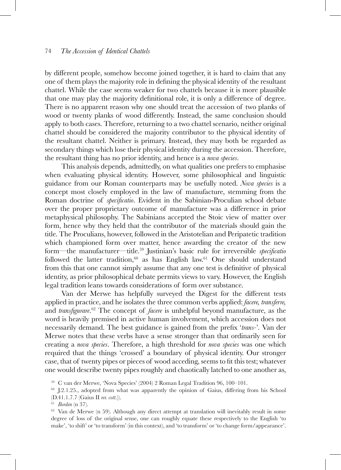by different people, somehow become joined together, it is hard to claim that any one of them plays the majority role in defining the physical identity of the resultant chattel. While the case seems weaker for two chattels because it is more plausible that one may play the majority definitional role, it is only a difference of degree. There is no apparent reason why one should treat the accession of two planks of wood or twenty planks of wood differently. Instead, the same conclusion should apply to both cases. Therefore, returning to a two chattel scenario, neither original chattel should be considered the majority contributor to the physical identity of the resultant chattel. Neither is primary. Instead, they may both be regarded as secondary things which lose their physical identity during the accession. Therefore, the resultant thing has no prior identity, and hence is a *nova species*.

This analysis depends, admittedly, on what qualities one prefers to emphasise when evaluating physical identity. However, some philosophical and linguistic guidance from our Roman counterparts may be usefully noted. *Nova species* is a concept most closely employed in the law of manufacture, stemming from the Roman doctrine of *specificatio*. Evident in the Sabinian-Proculian school debate over the proper proprietary outcome of manufacture was a difference in prior metaphysical philosophy. The Sabinians accepted the Stoic view of matter over form, hence why they held that the contributor of the materials should gain the title. The Proculians, however, followed in the Aristotelian and Peripatetic tradition which championed form over matter, hence awarding the creator of the new form—the manufacturer—title.59 Justinian's basic rule for irreversible *specificatio*  followed the latter tradition,<sup>60</sup> as has English law.<sup>61</sup> One should understand from this that one cannot simply assume that any one test is definitive of physical identity, as prior philosophical debate permits views to vary. However, the English legal tradition leans towards considerations of form over substance.

Van der Merwe has helpfully surveyed the Digest for the different tests applied in practice, and he isolates the three common verbs applied: *facere, transferre,*  and *transfigurare*. 62 The concept of *facere* is unhelpful beyond manufacture, as the word is heavily premised in active human involvement, which accession does not necessarily demand. The best guidance is gained from the prefix '*trans-*'*.* Van der Merwe notes that these verbs have a sense stronger than that ordinarily seen for creating a *nova species*. Therefore, a high threshold for *nova species* was one which required that the things 'crossed' a boundary of physical identity. Our stronger case, that of twenty pipes or pieces of wood acceding, seems to fit this test; whatever one would describe twenty pipes roughly and chaotically latched to one another as,

<sup>59</sup> C van der Merwe, 'Nova Species' (2004) 2 Roman Legal Tradition 96, 100–101.<br><sup>60</sup> J.2.1.25., adopted from what was apparently the opinion of Gaius, differing from his School (D.41.1.7.7 (Gaius II *rer. cott*.)). 61 *Borden* (n 37).

<sup>62</sup> Van de Merwe (n 59). Although any direct attempt at translation will inevitably result in some degree of loss of the original sense, one can roughly equate these respectively to the English 'to make', 'to shift' or 'to transform' (in this context), and 'to transform' or 'to change form/appearance'.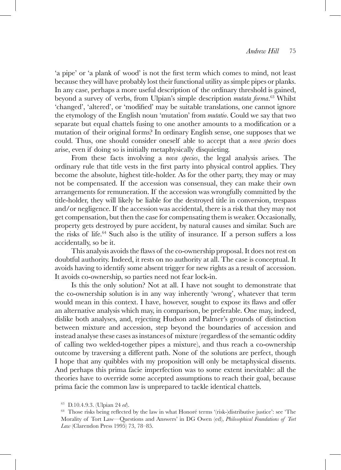'a pipe' or 'a plank of wood' is not the first term which comes to mind, not least because they will have probably lost their functional utility as simple pipes or planks. In any case, perhaps a more useful description of the ordinary threshold is gained, beyond a survey of verbs, from Ulpian's simple description *mutata forma*. 63 Whilst 'changed', 'altered', or 'modified' may be suitable translations, one cannot ignore the etymology of the English noun 'mutation' from *mutatio*. Could we say that two separate but equal chattels fusing to one another amounts to a modification or a mutation of their original forms? In ordinary English sense, one supposes that we could. Thus, one should consider oneself able to accept that a *nova species* does arise, even if doing so is initially metaphysically disquieting.

From these facts involving a *nova species*, the legal analysis arises. The ordinary rule that title vests in the first party into physical control applies. They become the absolute, highest title-holder. As for the other party, they may or may not be compensated. If the accession was consensual, they can make their own arrangements for remuneration. If the accession was wrongfully committed by the title-holder, they will likely be liable for the destroyed title in conversion, trespass and/or negligence. If the accession was accidental, there is a risk that they may not get compensation, but then the case for compensating them is weaker. Occasionally, property gets destroyed by pure accident, by natural causes and similar. Such are the risks of life.64 Such also is the utility of insurance. If a person suffers a loss accidentally, so be it.

This analysis avoids the flaws of the co-ownership proposal. It does not rest on doubtful authority. Indeed, it rests on no authority at all. The case is conceptual. It avoids having to identify some absent trigger for new rights as a result of accession. It avoids co-ownership, so parties need not fear lock-in.

Is this the only solution? Not at all. I have not sought to demonstrate that the co-ownership solution is in any way inherently 'wrong', whatever that term would mean in this context. I have, however, sought to expose its flaws and offer an alternative analysis which may, in comparison, be preferable. One may, indeed, dislike both analyses, and, rejecting Hudson and Palmer's grounds of distinction between mixture and accession, step beyond the boundaries of accession and instead analyse these cases as instances of mixture (regardless of the semantic oddity of calling two welded-together pipes a mixture), and thus reach a co-ownership outcome by traversing a different path. None of the solutions are perfect, though I hope that any quibbles with my proposition will only be metaphysical dissents. And perhaps this prima facie imperfection was to some extent inevitable: all the theories have to override some accepted assumptions to reach their goal, because prima facie the common law is unprepared to tackle identical chattels.

<sup>&</sup>lt;sup>63</sup> D.10.4.9.3. (Ulpian 24 *ed*).<br><sup>64</sup> Those risks being reflected by the law in what Honoré terms '(risk-)distributive justice': see 'The Morality of Tort Law—Questions and Answers' in DG Owen (ed), *Philosophical Foundations of Tort Law* (Clarendon Press 1995) 73, 78–85.